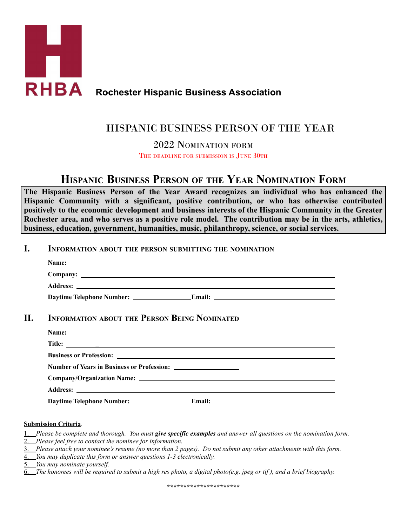

### **Rochester Hispanic Business Association**

## HISPANIC BUSINESS PERSON OF THE YEAR

2022 NOMINATION FORM

THE DEADLINE FOR SUBMISSION IS JUNE 30TH

# **HISPANIC BUSINESS PERSON OF THE YEAR NOMINATION FORM**

**The Hispanic Business Person of the Year Award recognizes an individual who has enhanced the Hispanic Community with a significant, positive contribution, or who has otherwise contributed positively to the economic development and business interests of the Hispanic Community in the Greater** Rochester area, and who serves as a positive role model. The contribution may be in the arts, athletics, **business, education, government, humanities, music, philanthropy, science, or social services.**

#### **I. INFORMATION ABOUT THE PERSON SUBMITTING THE NOMINATION**

| <b>INFORMATION ABOUT THE PERSON BEING NOMINATED</b>                                                                                                                                                                           |
|-------------------------------------------------------------------------------------------------------------------------------------------------------------------------------------------------------------------------------|
| Name: Name: Name: Name: Name: Name: Name: Name: Name: Name: Name: Name: Name: Name: Name: Name: Name: Name: Name: Name: Name: Name: Name: Name: Name: Name: Name: Name: Name: Name: Name: Name: Name: Name: Name: Name: Name: |
| Title:                                                                                                                                                                                                                        |
|                                                                                                                                                                                                                               |
|                                                                                                                                                                                                                               |
|                                                                                                                                                                                                                               |
|                                                                                                                                                                                                                               |
|                                                                                                                                                                                                                               |

#### **Submission Criteria***.*

Please be complete and thorough. You must give specific examples and answer all questions on the nomination form. 2. *Please feel free to contact the nominee for information.*

- 3. Please attach your nominee's resume (no more than 2 pages). Do not submit any other attachments with this form.
- 4. *You may duplicate this form or answer questions 1-3 electronically.*

5. *You may nominate yourself.*

6. The honorees will be required to submit a high res photo, a digital photo(e.g. jpeg or tif), and a brief biography.

**\*\*\*\*\*\*\*\*\*\*\*\*\*\*\*\*\*\*\*\*\*\***